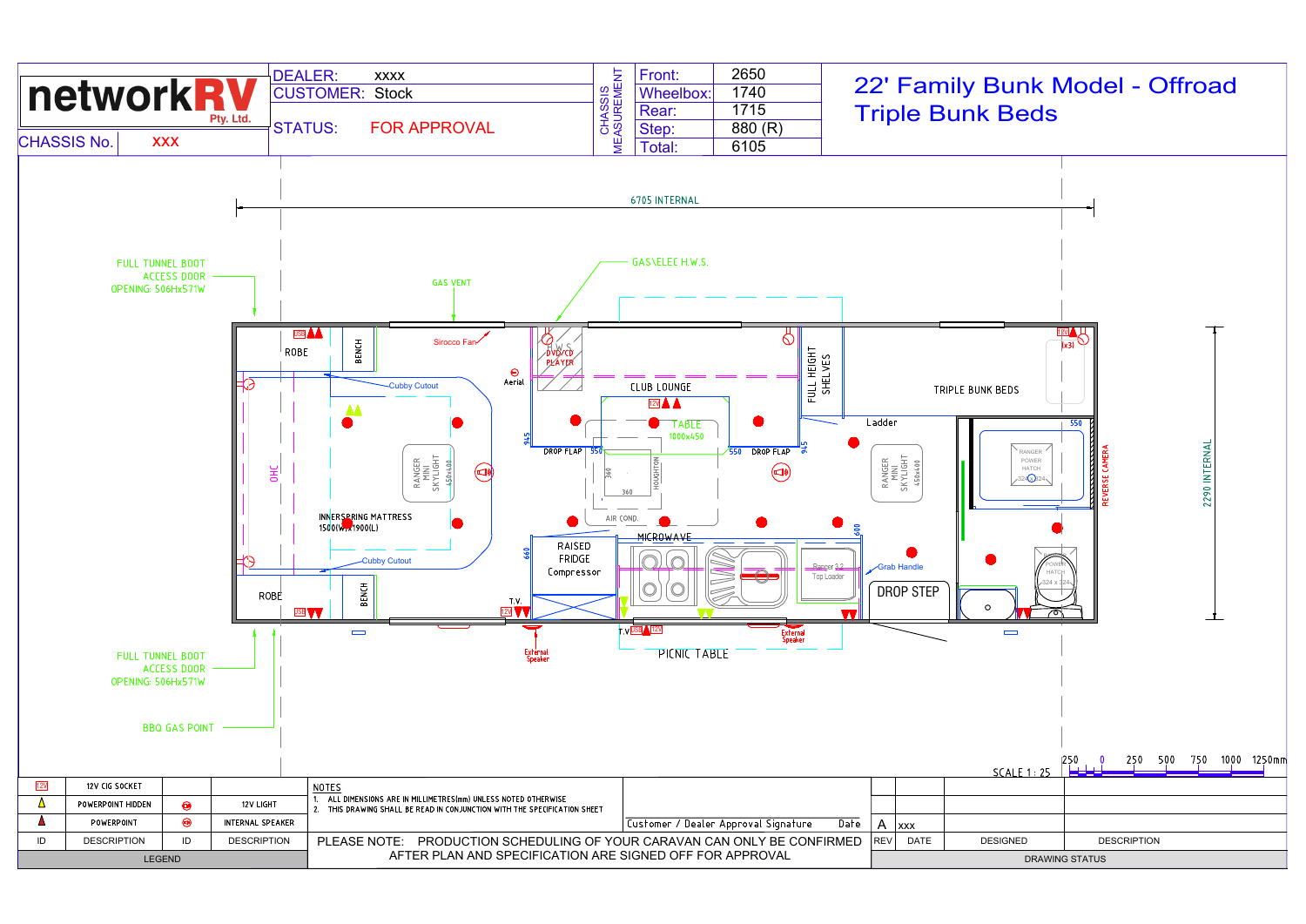